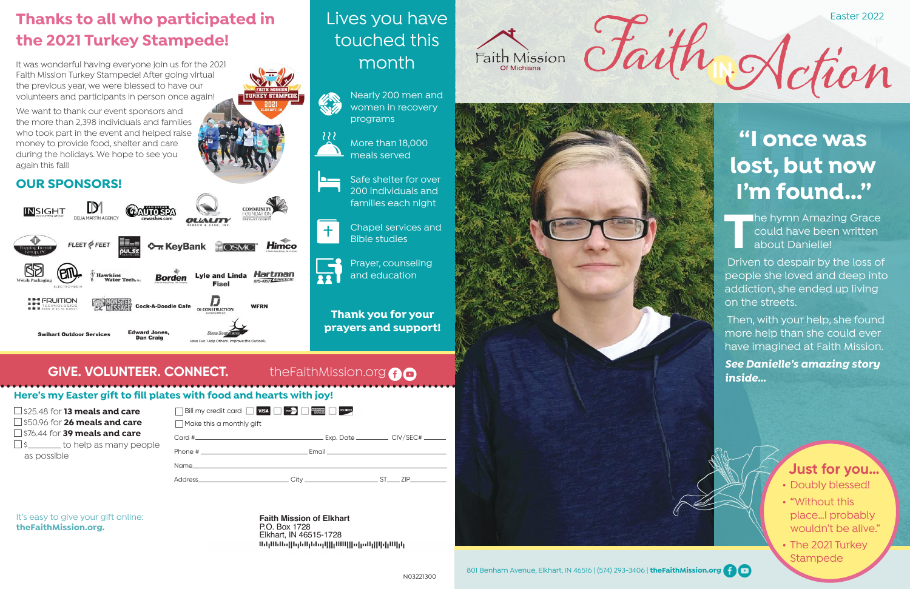### **Here's my Easter gift to fill plates with food and hearts with joy!**

It's easy to give your gift online: **theFaithMission.org.**

### **Thanks to all who participated in the 2021 Turkey Stampede!**

It was wonderful having everyone join us for the 2021 Faith Mission Turkey Stampede! After going virtual the previous year, we were blessed to have our volunteers and participants in person once again!

| $\Box$ \$25.48 for <b>13 meals and care</b><br>$\Box$ \$50.96 for <b>26 meals and care</b><br>$\Box$ \$76.44 for <b>39 meals and care</b><br>$\Box$ \$ ________ to help as many people | Bill my credit card <b>WISA</b><br>Make this a monthly gift                                    | <b>AMERICAN</b><br>ECERESE<br><b>DISCOVER</b> |
|----------------------------------------------------------------------------------------------------------------------------------------------------------------------------------------|------------------------------------------------------------------------------------------------|-----------------------------------------------|
|                                                                                                                                                                                        |                                                                                                | . Exp. Date                                   |
| as possible                                                                                                                                                                            |                                                                                                | Email                                         |
|                                                                                                                                                                                        | Name<br>Address.<br>the control of the control of the control of the control of the control of | Citv _________________                        |

We want to thank our event sponsors and the more than 2,398 individuals and families who took part in the event and helped raise money to provide food, shelter and care during the holidays. We hope to see you again this fall!

### **OUR SPONSORS!**



#### **Faith Mission of Elkhart** P.O. Box 1728 Elkhart, IN 46515-1728



**The hymn Amazing Grace** could have been written about Danielle!

- Doubly blessed!
- "Without this place…I probably wouldn't be alive."
- The 2021 Turkey **Stampede**



### Lives you have touched this month



More than 18,000 meals served

Safe shelter for over 200 individuals and families each night

Chapel services and Bible studies

 $+$ 

Prayer, counseling and education

 $C$  CIV/SEC# $C$ 

 $S$ T $\qquad$ ZIP $\qquad$ 

**Thank you for your prayers and support!** 

### **GIVE. VOLUNTEER. CONNECT.** the FaithMission.org<sup>6</sup>





Easter 2022

# **"I once was lost, but now I'm found…"**

 Driven to despair by the loss of people she loved and deep into addiction, she ended up living on the streets.

 Then, with your help, she found more help than she could ever have imagined at Faith Mission. *See Danielle's amazing story inside…* 

### **Just for you…**